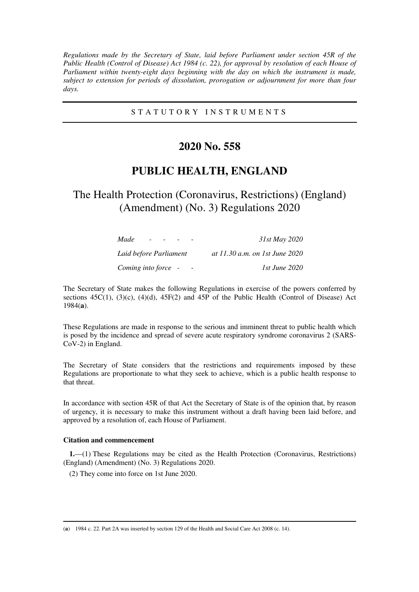*Regulations made by the Secretary of State, laid before Parliament under section 45R of the Public Health (Control of Disease) Act 1984 (c. 22), for approval by resolution of each House of Parliament within twenty-eight days beginning with the day on which the instrument is made, subject to extension for periods of dissolution, prorogation or adjournment for more than four days.* 

### S T A T U T O R Y I N S T R U M E N T S

## **2020 No. 558**

## **PUBLIC HEALTH, ENGLAND**

# The Health Protection (Coronavirus, Restrictions) (England) (Amendment) (No. 3) Regulations 2020

| Made                   | 31st May 2020                  |
|------------------------|--------------------------------|
| Laid before Parliament | at 11.30 a.m. on 1st June 2020 |
| Coming into force -    | 1st June 2020                  |

The Secretary of State makes the following Regulations in exercise of the powers conferred by sections  $45C(1)$ ,  $(3)(c)$ ,  $(4)(d)$ ,  $45F(2)$  and  $45P$  of the Public Health (Control of Disease) Act 1984(**a**).

These Regulations are made in response to the serious and imminent threat to public health which is posed by the incidence and spread of severe acute respiratory syndrome coronavirus 2 (SARS-CoV-2) in England.

The Secretary of State considers that the restrictions and requirements imposed by these Regulations are proportionate to what they seek to achieve, which is a public health response to that threat.

In accordance with section 45R of that Act the Secretary of State is of the opinion that, by reason of urgency, it is necessary to make this instrument without a draft having been laid before, and approved by a resolution of, each House of Parliament.

#### **Citation and commencement**

-

**1.**—(1) These Regulations may be cited as the Health Protection (Coronavirus, Restrictions) (England) (Amendment) (No. 3) Regulations 2020.

(2) They come into force on 1st June 2020.

<sup>(</sup>**a**) 1984 c. 22. Part 2A was inserted by section 129 of the Health and Social Care Act 2008 (c. 14).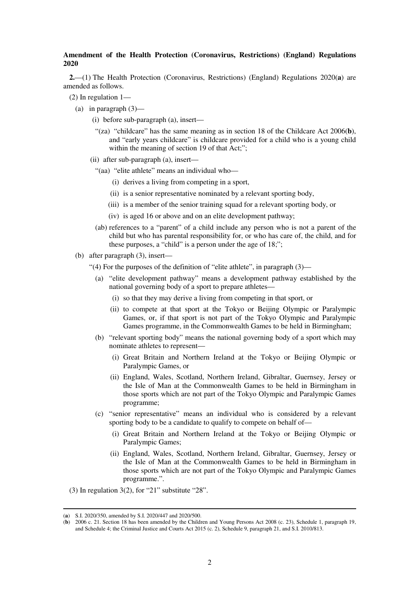#### **Amendment of the Health Protection (Coronavirus, Restrictions) (England) Regulations 2020**

**2.**—(1) The Health Protection (Coronavirus, Restrictions) (England) Regulations 2020(**a**) are amended as follows.

- (2) In regulation 1—
	- (a) in paragraph  $(3)$ 
		- (i) before sub-paragraph (a), insert—
			- "(za) "childcare" has the same meaning as in section 18 of the Childcare Act 2006(**b**), and "early years childcare" is childcare provided for a child who is a young child within the meaning of section 19 of that Act;";
		- (ii) after sub-paragraph (a), insert—
			- "(aa) "elite athlete" means an individual who—
				- (i) derives a living from competing in a sport,
				- (ii) is a senior representative nominated by a relevant sporting body,
				- (iii) is a member of the senior training squad for a relevant sporting body, or
				- (iv) is aged 16 or above and on an elite development pathway;
			- (ab) references to a "parent" of a child include any person who is not a parent of the child but who has parental responsibility for, or who has care of, the child, and for these purposes, a "child" is a person under the age of 18;";
	- (b) after paragraph (3), insert—
		- "(4) For the purposes of the definition of "elite athlete", in paragraph  $(3)$ 
			- (a) "elite development pathway" means a development pathway established by the national governing body of a sport to prepare athletes—
				- (i) so that they may derive a living from competing in that sport, or
				- (ii) to compete at that sport at the Tokyo or Beijing Olympic or Paralympic Games, or, if that sport is not part of the Tokyo Olympic and Paralympic Games programme, in the Commonwealth Games to be held in Birmingham;
			- (b) "relevant sporting body" means the national governing body of a sport which may nominate athletes to represent—
				- (i) Great Britain and Northern Ireland at the Tokyo or Beijing Olympic or Paralympic Games, or
				- (ii) England, Wales, Scotland, Northern Ireland, Gibraltar, Guernsey, Jersey or the Isle of Man at the Commonwealth Games to be held in Birmingham in those sports which are not part of the Tokyo Olympic and Paralympic Games programme;
			- (c) "senior representative" means an individual who is considered by a relevant sporting body to be a candidate to qualify to compete on behalf of—
				- (i) Great Britain and Northern Ireland at the Tokyo or Beijing Olympic or Paralympic Games;
				- (ii) England, Wales, Scotland, Northern Ireland, Gibraltar, Guernsey, Jersey or the Isle of Man at the Commonwealth Games to be held in Birmingham in those sports which are not part of the Tokyo Olympic and Paralympic Games programme.".
- (3) In regulation  $3(2)$ , for "21" substitute "28".

-

<sup>(</sup>**a**) S.I. 2020/350, amended by S.I. 2020/447 and 2020/500.

<sup>(</sup>**b**) 2006 c. 21. Section 18 has been amended by the Children and Young Persons Act 2008 (c. 23), Schedule 1, paragraph 19, and Schedule 4; the Criminal Justice and Courts Act 2015 (c. 2), Schedule 9, paragraph 21, and S.I. 2010/813.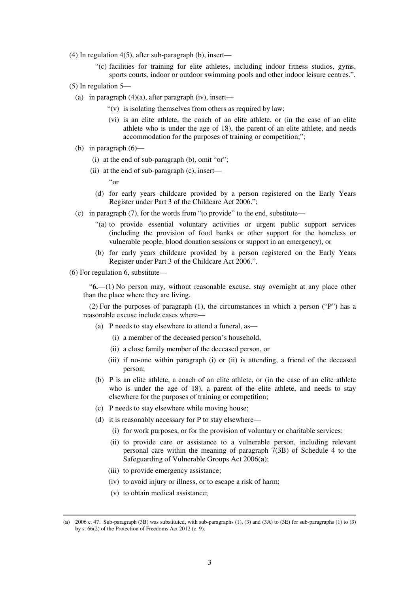- (4) In regulation 4(5), after sub-paragraph (b), insert—
	- "(c) facilities for training for elite athletes, including indoor fitness studios, gyms, sports courts, indoor or outdoor swimming pools and other indoor leisure centres.".
- (5) In regulation 5—
	- (a) in paragraph  $(4)(a)$ , after paragraph (iv), insert—
		- "(v) is isolating themselves from others as required by law;
		- (vi) is an elite athlete, the coach of an elite athlete, or (in the case of an elite athlete who is under the age of 18), the parent of an elite athlete, and needs accommodation for the purposes of training or competition;";
	- (b) in paragraph (6)—
		- (i) at the end of sub-paragraph (b), omit "or";
		- (ii) at the end of sub-paragraph (c), insert—
			- "or
			- (d) for early years childcare provided by a person registered on the Early Years Register under Part 3 of the Childcare Act 2006.";
	- (c) in paragraph (7), for the words from "to provide" to the end, substitute—
		- "(a) to provide essential voluntary activities or urgent public support services (including the provision of food banks or other support for the homeless or vulnerable people, blood donation sessions or support in an emergency), or
		- (b) for early years childcare provided by a person registered on the Early Years Register under Part 3 of the Childcare Act 2006.".
- (6) For regulation 6, substitute—

"**6.**—(1) No person may, without reasonable excuse, stay overnight at any place other than the place where they are living.

(2) For the purposes of paragraph (1), the circumstances in which a person ("P") has a reasonable excuse include cases where—

- (a) P needs to stay elsewhere to attend a funeral, as—
	- (i) a member of the deceased person's household,
	- (ii) a close family member of the deceased person, or
	- (iii) if no-one within paragraph (i) or (ii) is attending, a friend of the deceased person;
- (b) P is an elite athlete, a coach of an elite athlete, or (in the case of an elite athlete who is under the age of 18), a parent of the elite athlete, and needs to stay elsewhere for the purposes of training or competition;
- (c) P needs to stay elsewhere while moving house;
- (d) it is reasonably necessary for P to stay elsewhere—
	- (i) for work purposes, or for the provision of voluntary or charitable services;
	- (ii) to provide care or assistance to a vulnerable person, including relevant personal care within the meaning of paragraph  $7(3B)$  of Schedule 4 to the Safeguarding of Vulnerable Groups Act 2006(**a**);
	- (iii) to provide emergency assistance;
	- (iv) to avoid injury or illness, or to escape a risk of harm;
	- (v) to obtain medical assistance;

-

<sup>(</sup>**a**) 2006 c. 47. Sub-paragraph (3B) was substituted, with sub-paragraphs (1), (3) and (3A) to (3E) for sub-paragraphs (1) to (3) by s. 66(2) of the Protection of Freedoms Act 2012 (c. 9).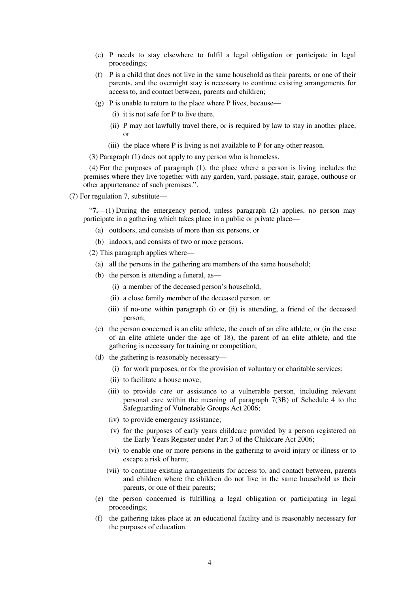- (e) P needs to stay elsewhere to fulfil a legal obligation or participate in legal proceedings;
- (f) P is a child that does not live in the same household as their parents, or one of their parents, and the overnight stay is necessary to continue existing arrangements for access to, and contact between, parents and children;
- (g) P is unable to return to the place where P lives, because—
	- (i) it is not safe for P to live there,
	- (ii) P may not lawfully travel there, or is required by law to stay in another place, or
	- (iii) the place where P is living is not available to P for any other reason.

(3) Paragraph (1) does not apply to any person who is homeless.

(4) For the purposes of paragraph (1), the place where a person is living includes the premises where they live together with any garden, yard, passage, stair, garage, outhouse or other appurtenance of such premises.".

(7) For regulation 7, substitute—

"**7.**—(1) During the emergency period, unless paragraph (2) applies, no person may participate in a gathering which takes place in a public or private place—

- (a) outdoors, and consists of more than six persons, or
- (b) indoors, and consists of two or more persons.

(2) This paragraph applies where—

- (a) all the persons in the gathering are members of the same household;
- (b) the person is attending a funeral, as—
	- (i) a member of the deceased person's household,
	- (ii) a close family member of the deceased person, or
	- (iii) if no-one within paragraph (i) or (ii) is attending, a friend of the deceased person;
- (c) the person concerned is an elite athlete, the coach of an elite athlete, or (in the case of an elite athlete under the age of 18), the parent of an elite athlete, and the gathering is necessary for training or competition;
- (d) the gathering is reasonably necessary—
	- (i) for work purposes, or for the provision of voluntary or charitable services;
	- (ii) to facilitate a house move;
	- (iii) to provide care or assistance to a vulnerable person, including relevant personal care within the meaning of paragraph 7(3B) of Schedule 4 to the Safeguarding of Vulnerable Groups Act 2006;
	- (iv) to provide emergency assistance;
	- (v) for the purposes of early years childcare provided by a person registered on the Early Years Register under Part 3 of the Childcare Act 2006;
	- (vi) to enable one or more persons in the gathering to avoid injury or illness or to escape a risk of harm;
	- (vii) to continue existing arrangements for access to, and contact between, parents and children where the children do not live in the same household as their parents, or one of their parents;
- (e) the person concerned is fulfilling a legal obligation or participating in legal proceedings;
- (f) the gathering takes place at an educational facility and is reasonably necessary for the purposes of education.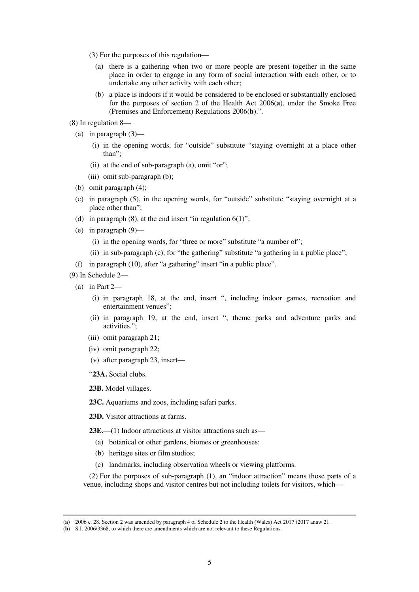- (3) For the purposes of this regulation—
	- (a) there is a gathering when two or more people are present together in the same place in order to engage in any form of social interaction with each other, or to undertake any other activity with each other;
	- (b) a place is indoors if it would be considered to be enclosed or substantially enclosed for the purposes of section 2 of the Health Act 2006(**a**), under the Smoke Free (Premises and Enforcement) Regulations 2006(**b**).".
- (8) In regulation 8—
	- (a) in paragraph (3)—
		- (i) in the opening words, for "outside" substitute "staying overnight at a place other than";
		- (ii) at the end of sub-paragraph (a), omit "or";
		- (iii) omit sub-paragraph (b);
	- (b) omit paragraph (4);
	- (c) in paragraph (5), in the opening words, for "outside" substitute "staying overnight at a place other than";
	- (d) in paragraph  $(8)$ , at the end insert "in regulation  $6(1)$ ";
	- (e) in paragraph (9)—
		- (i) in the opening words, for "three or more" substitute "a number of";
		- (ii) in sub-paragraph (c), for "the gathering" substitute "a gathering in a public place";
	- (f) in paragraph (10), after "a gathering" insert "in a public place".
- (9) In Schedule 2—
	- (a) in Part 2—

-

- (i) in paragraph 18, at the end, insert ", including indoor games, recreation and entertainment venues";
- (ii) in paragraph 19, at the end, insert ", theme parks and adventure parks and activities.";
- (iii) omit paragraph 21;
- (iv) omit paragraph 22;
- (v) after paragraph 23, insert—
- "**23A.** Social clubs.

**23B.** Model villages.

- **23C.** Aquariums and zoos, including safari parks.
- **23D.** Visitor attractions at farms.
- **23E.**—(1) Indoor attractions at visitor attractions such as—
	- (a) botanical or other gardens, biomes or greenhouses;
	- (b) heritage sites or film studios;
	- (c) landmarks, including observation wheels or viewing platforms.

(2) For the purposes of sub-paragraph (1), an "indoor attraction" means those parts of a venue, including shops and visitor centres but not including toilets for visitors, which—

<sup>(</sup>**a**) 2006 c. 28. Section 2 was amended by paragraph 4 of Schedule 2 to the Health (Wales) Act 2017 (2017 anaw 2).

<sup>(</sup>**b**) S.I. 2006/3368, to which there are amendments which are not relevant to these Regulations.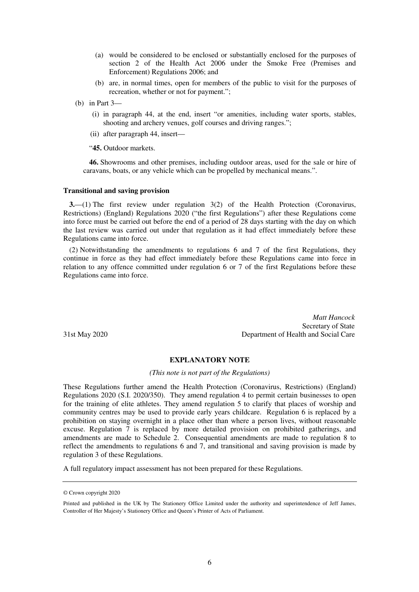- (a) would be considered to be enclosed or substantially enclosed for the purposes of section 2 of the Health Act 2006 under the Smoke Free (Premises and Enforcement) Regulations 2006; and
- (b) are, in normal times, open for members of the public to visit for the purposes of recreation, whether or not for payment.";
- (b) in Part 3—
	- (i) in paragraph 44, at the end, insert "or amenities, including water sports, stables, shooting and archery venues, golf courses and driving ranges.";
	- (ii) after paragraph 44, insert—

"**45.** Outdoor markets.

**46.** Showrooms and other premises, including outdoor areas, used for the sale or hire of caravans, boats, or any vehicle which can be propelled by mechanical means.".

#### **Transitional and saving provision**

**3.**—(1) The first review under regulation 3(2) of the Health Protection (Coronavirus, Restrictions) (England) Regulations 2020 ("the first Regulations") after these Regulations come into force must be carried out before the end of a period of 28 days starting with the day on which the last review was carried out under that regulation as it had effect immediately before these Regulations came into force.

(2) Notwithstanding the amendments to regulations 6 and 7 of the first Regulations, they continue in force as they had effect immediately before these Regulations came into force in relation to any offence committed under regulation 6 or 7 of the first Regulations before these Regulations came into force.

*Matt Hancock*  Secretary of State 31st May 2020 Department of Health and Social Care

#### **EXPLANATORY NOTE**

#### *(This note is not part of the Regulations)*

These Regulations further amend the Health Protection (Coronavirus, Restrictions) (England) Regulations 2020 (S.I. 2020/350). They amend regulation 4 to permit certain businesses to open for the training of elite athletes. They amend regulation 5 to clarify that places of worship and community centres may be used to provide early years childcare. Regulation 6 is replaced by a prohibition on staying overnight in a place other than where a person lives, without reasonable excuse. Regulation 7 is replaced by more detailed provision on prohibited gatherings, and amendments are made to Schedule 2. Consequential amendments are made to regulation 8 to reflect the amendments to regulations 6 and 7, and transitional and saving provision is made by regulation 3 of these Regulations.

A full regulatory impact assessment has not been prepared for these Regulations.

<sup>©</sup> Crown copyright 2020

Printed and published in the UK by The Stationery Office Limited under the authority and superintendence of Jeff James, Controller of Her Majesty's Stationery Office and Queen's Printer of Acts of Parliament.